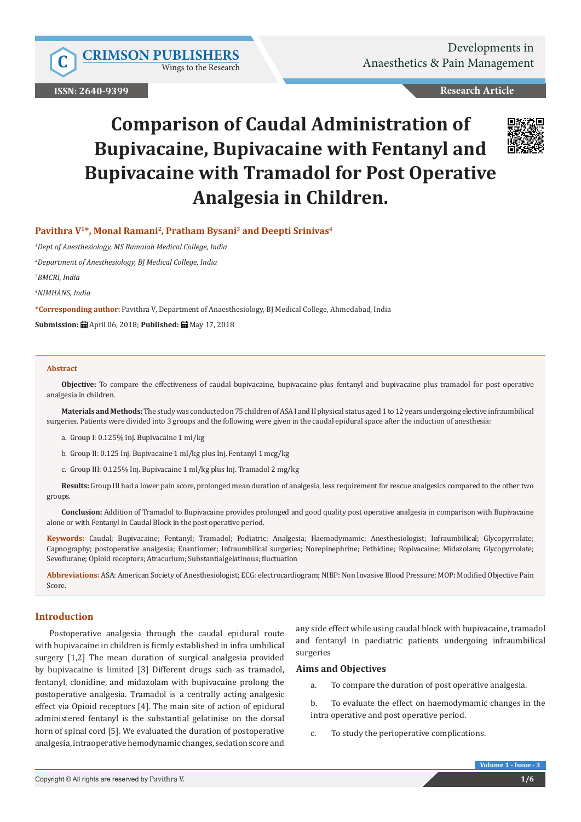Wings to the Research

**ISSN: 2640-9399**

## **Research Article**

# **Comparison of Caudal Administration of Bupivacaine, Bupivacaine with Fentanyl and Bupivacaine with Tramadol for Post Operative Analgesia in Children.**



## **Pavithra V1\*, Monal Ramani2, Pratham Bysani3 and Deepti Srinivas4**

*1 Dept of Anesthesiology, MS Ramaiah Medical College, India*

*2 Department of Anesthesiology, BJ Medical College, India*

*3 BMCRI, India*

*4 NIMHANS, India*

**\*Corresponding author:** Pavithra V, Department of Anaesthesiology, BJ Medical College, Ahmedabad, India

**Submission:** April 06, 2018; **Published:** May 17, 2018

#### **Abstract**

**Objective:** To compare the effectiveness of caudal bupivacaine, bupivacaine plus fentanyl and bupivacaine plus tramadol for post operative analgesia in children.

**Materials and Methods:** The study was conducted on 75 children of ASA I and II physical status aged 1 to 12 years undergoing elective infraumbilical surgeries. Patients were divided into 3 groups and the following were given in the caudal epidural space after the induction of anesthesia:

- a. Group I: 0.125% Inj. Bupivacaine 1 ml/kg
- b. Group II: 0.125 Inj. Bupivacaine 1 ml/kg plus Inj. Fentanyl 1 mcg/kg
- c. Group III: 0.125% Inj. Bupivacaine 1 ml/kg plus Inj. Tramadol 2 mg/kg

**Results:** Group III had a lower pain score, prolonged mean duration of analgesia, less requirement for rescue analgesics compared to the other two groups.

**Conclusion:** Addition of Tramadol to Bupivacaine provides prolonged and good quality post operative analgesia in comparison with Bupivacaine alone or with Fentanyl in Caudal Block in the post operative period.

**Keywords:** Caudal; Bupivacaine; Fentanyl; Tramadol; Pediatric; Analgesia; Haemodymamic; Anesthesiologist; Infraumbilical; Glycopyrrolate; Capnography; postoperative analgesia; Enantiomer; Infraumbilical surgeries; Norepinephrine; Pethidine; Ropivacaine; Midazolam; Glycopyrrolate; Sevoflurane; Opioid receptors; Atracurium; Substantialgelatinous; fluctuation

**Abbreviations:** ASA: American Society of Anesthesiologist; ECG: electrocardiogram; NIBP: Non Invasive Blood Pressure; MOP: Modified Objective Pain Score.

## **Introduction**

Postoperative analgesia through the caudal epidural route with bupivacaine in children is firmly established in infra umbilical surgery [1,2] The mean duration of surgical analgesia provided by bupivacaine is limited [3] Different drugs such as tramadol, fentanyl, clonidine, and midazolam with bupivacaine prolong the postoperative analgesia. Tramadol is a centrally acting analgesic effect via Opioid receptors [4]. The main site of action of epidural administered fentanyl is the substantial gelatinise on the dorsal horn of spinal cord [5]. We evaluated the duration of postoperative analgesia, intraoperative hemodynamic changes, sedation score and

any side effect while using caudal block with bupivacaine, tramadol and fentanyl in paediatric patients undergoing infraumbilical surgeries

#### **Aims and Objectives**

a. To compare the duration of post operative analgesia.

b. To evaluate the effect on haemodymamic changes in the intra operative and post operative period.

c. To study the perioperative complications.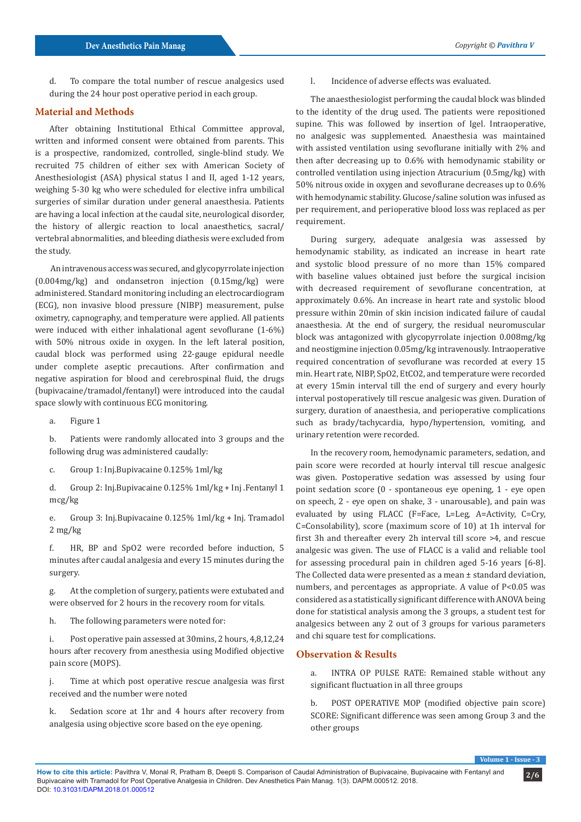d. To compare the total number of rescue analgesics used during the 24 hour post operative period in each group.

## **Material and Methods**

After obtaining Institutional Ethical Committee approval, written and informed consent were obtained from parents. This is a prospective, randomized, controlled, single-blind study. We recruited 75 children of either sex with American Society of Anesthesiologist (ASA) physical status I and II, aged 1-12 years, weighing 5-30 kg who were scheduled for elective infra umbilical surgeries of similar duration under general anaesthesia. Patients are having a local infection at the caudal site, neurological disorder, the history of allergic reaction to local anaesthetics, sacral/ vertebral abnormalities, and bleeding diathesis were excluded from the study.

 An intravenous access was secured, and glycopyrrolate injection (0.004mg/kg) and ondansetron injection (0.15mg/kg) were administered. Standard monitoring including an electrocardiogram (ECG), non invasive blood pressure (NIBP) measurement, pulse oximetry, capnography, and temperature were applied. All patients were induced with either inhalational agent sevoflurane (1-6%) with 50% nitrous oxide in oxygen. In the left lateral position, caudal block was performed using 22-gauge epidural needle under complete aseptic precautions. After confirmation and negative aspiration for blood and cerebrospinal fluid, the drugs (bupivacaine/tramadol/fentanyl) were introduced into the caudal space slowly with continuous ECG monitoring.

a. Figure 1

b. Patients were randomly allocated into 3 groups and the following drug was administered caudally:

c. Group 1: Inj.Bupivacaine 0.125% 1ml/kg

d. Group 2: Inj.Bupivacaine 0.125% 1ml/kg + Inj .Fentanyl 1 mcg/kg

e. Group 3: Inj.Bupivacaine 0.125% 1ml/kg + Inj. Tramadol 2 mg/kg

f. HR, BP and SpO2 were recorded before induction, 5 minutes after caudal analgesia and every 15 minutes during the surgery.

g. At the completion of surgery, patients were extubated and were observed for 2 hours in the recovery room for vitals.

h. The following parameters were noted for:

i. Post operative pain assessed at 30mins, 2 hours, 4,8,12,24 hours after recovery from anesthesia using Modified objective pain score (MOPS).

j. Time at which post operative rescue analgesia was first received and the number were noted

k. Sedation score at 1hr and 4 hours after recovery from analgesia using objective score based on the eye opening.

l. Incidence of adverse effects was evaluated.

The anaesthesiologist performing the caudal block was blinded to the identity of the drug used. The patients were repositioned supine. This was followed by insertion of Igel. Intraoperative, no analgesic was supplemented. Anaesthesia was maintained with assisted ventilation using sevoflurane initially with 2% and then after decreasing up to 0.6% with hemodynamic stability or controlled ventilation using injection Atracurium (0.5mg/kg) with 50% nitrous oxide in oxygen and sevoflurane decreases up to 0.6% with hemodynamic stability. Glucose/saline solution was infused as per requirement, and perioperative blood loss was replaced as per requirement.

During surgery, adequate analgesia was assessed by hemodynamic stability, as indicated an increase in heart rate and systolic blood pressure of no more than 15% compared with baseline values obtained just before the surgical incision with decreased requirement of sevoflurane concentration, at approximately 0.6%. An increase in heart rate and systolic blood pressure within 20min of skin incision indicated failure of caudal anaesthesia. At the end of surgery, the residual neuromuscular block was antagonized with glycopyrrolate injection 0.008mg/kg and neostigmine injection 0.05mg/kg intravenously. Intraoperative required concentration of sevoflurane was recorded at every 15 min. Heart rate, NIBP, SpO2, EtCO2, and temperature were recorded at every 15min interval till the end of surgery and every hourly interval postoperatively till rescue analgesic was given. Duration of surgery, duration of anaesthesia, and perioperative complications such as brady/tachycardia, hypo/hypertension, vomiting, and urinary retention were recorded.

In the recovery room, hemodynamic parameters, sedation, and pain score were recorded at hourly interval till rescue analgesic was given. Postoperative sedation was assessed by using four point sedation score (0 - spontaneous eye opening, 1 - eye open on speech, 2 - eye open on shake, 3 - unarousable), and pain was evaluated by using FLACC (F=Face, L=Leg, A=Activity, C=Cry, C=Consolability), score (maximum score of 10) at 1h interval for first 3h and thereafter every 2h interval till score >4, and rescue analgesic was given. The use of FLACC is a valid and reliable tool for assessing procedural pain in children aged 5-16 years [6-8]. The Collected data were presented as a mean ± standard deviation, numbers, and percentages as appropriate. A value of P<0.05 was considered as a statistically significant difference with ANOVA being done for statistical analysis among the 3 groups, a student test for analgesics between any 2 out of 3 groups for various parameters and chi square test for complications.

#### **Observation & Results**

a. INTRA OP PULSE RATE: Remained stable without any significant fluctuation in all three groups

b. POST OPERATIVE MOP (modified objective pain score) SCORE: Significant difference was seen among Group 3 and the other groups

**Volume 1**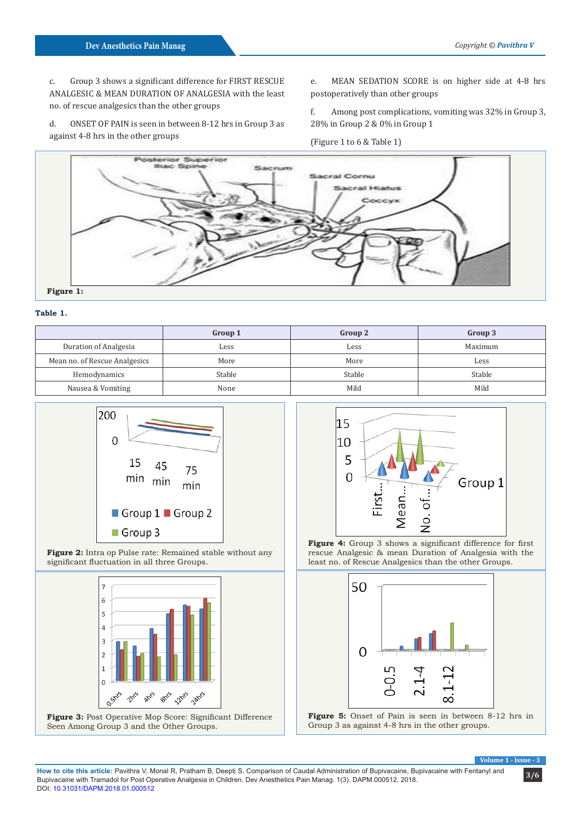c. Group 3 shows a significant difference for FIRST RESCUE ANALGESIC & MEAN DURATION OF ANALGESIA with the least no. of rescue analgesics than the other groups

d. ONSET OF PAIN is seen in between 8-12 hrs in Group 3 as against 4-8 hrs in the other groups

e. MEAN SEDATION SCORE is on higher side at 4-8 hrs postoperatively than other groups

f. Among post complications, vomiting was 32% in Group 3, 28% in Group 2 & 0% in Group 1





#### **Table 1.**

|                               | Group 1 | Group 2 | Group 3 |
|-------------------------------|---------|---------|---------|
| Duration of Analgesia         | Less    | Less    | Maximum |
| Mean no. of Rescue Analgesics | More    | More    | Less    |
| Hemodynamics                  | Stable  | Stable  | Stable  |
| Nausea & Vomiting             | None    | Mild    | Mild    |



**Figure 2:** Intra op Pulse rate: Remained stable without any significant fluctuation in all three Groups.



**Figure 3:** Post Operative Mop Score: Significant Difference Seen Among Group 3 and the Other Groups.



**Figure 4:** Group 3 shows a significant difference for first rescue Analgesic & mean Duration of Analgesia with the least no. of Rescue Analgesics than the other Groups.





**Volume 1 - 1** 

**How to cite this article:** Pavithra V, Monal R, Pratham B, Deepti S. Comparison of Caudal Administration of Bupivacaine, Bupivacaine with Fentanyl and 3/6 Bupivacaine with Tramadol for Post Operative Analgesia in Children. Dev Anesthetics Pain Manag. 1(3). DAPM.000512. 2018. DOI: [10.31031/DAPM.2018.01.000512](http://dx.doi.org/10.31031/DAPM.2018.01.000512
)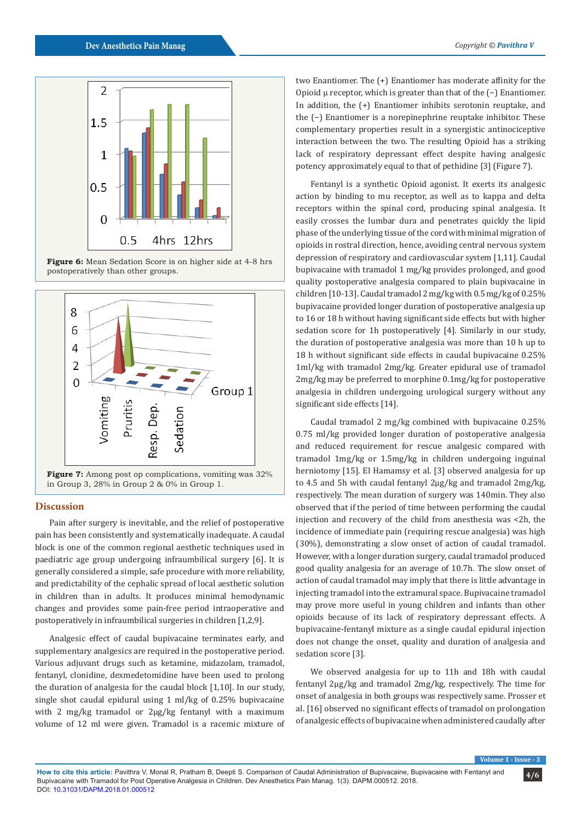

**Figure 6:** Mean Sedation Score is on higher side at 4-8 hrs postoperatively than other groups.



in Group 3, 28% in Group 2 & 0% in Group 1.

#### **Discussion**

Pain after surgery is inevitable, and the relief of postoperative pain has been consistently and systematically inadequate. A caudal block is one of the common regional aesthetic techniques used in paediatric age group undergoing infraumbilical surgery [6]. It is generally considered a simple, safe procedure with more reliability, and predictability of the cephalic spread of local aesthetic solution in children than in adults. It produces minimal hemodynamic changes and provides some pain-free period intraoperative and postoperatively in infraumbilical surgeries in children [1,2,9].

Analgesic effect of caudal bupivacaine terminates early, and supplementary analgesics are required in the postoperative period. Various adjuvant drugs such as ketamine, midazolam, tramadol, fentanyl, clonidine, dexmedetomidine have been used to prolong the duration of analgesia for the caudal block [1,10]. In our study, single shot caudal epidural using 1 ml/kg of 0.25% bupivacaine with 2 mg/kg tramadol or 2μg/kg fentanyl with a maximum volume of 12 ml were given. Tramadol is a racemic mixture of two Enantiomer. The (+) Enantiomer has moderate affinity for the Opioid μ receptor, which is greater than that of the (−) Enantiomer. In addition, the (+) Enantiomer inhibits serotonin reuptake, and the (−) Enantiomer is a norepinephrine reuptake inhibitor. These complementary properties result in a synergistic antinociceptive interaction between the two. The resulting Opioid has a striking lack of respiratory depressant effect despite having analgesic potency approximately equal to that of pethidine [3] (Figure 7).

Fentanyl is a synthetic Opioid agonist. It exerts its analgesic action by binding to mu receptor, as well as to kappa and delta receptors within the spinal cord, producing spinal analgesia. It easily crosses the lumbar dura and penetrates quickly the lipid phase of the underlying tissue of the cord with minimal migration of opioids in rostral direction, hence, avoiding central nervous system depression of respiratory and cardiovascular system [1,11]. Caudal bupivacaine with tramadol 1 mg/kg provides prolonged, and good quality postoperative analgesia compared to plain bupivacaine in children [10-13]. Caudal tramadol 2 mg/kg with 0.5 mg/kg of 0.25% bupivacaine provided longer duration of postoperative analgesia up to 16 or 18 h without having significant side effects but with higher sedation score for 1h postoperatively [4]. Similarly in our study, the duration of postoperative analgesia was more than 10 h up to 18 h without significant side effects in caudal bupivacaine 0.25% 1ml/kg with tramadol 2mg/kg. Greater epidural use of tramadol 2mg/kg may be preferred to morphine 0.1mg/kg for postoperative analgesia in children undergoing urological surgery without any significant side effects [14].

Caudal tramadol 2 mg/kg combined with bupivacaine 0.25% 0.75 ml/kg provided longer duration of postoperative analgesia and reduced requirement for rescue analgesic compared with tramadol 1mg/kg or 1.5mg/kg in children undergoing inguinal herniotomy [15]. El Hamamsy et al. [3] observed analgesia for up to 4.5 and 5h with caudal fentanyl 2μg/kg and tramadol 2mg/kg, respectively. The mean duration of surgery was 140min. They also observed that if the period of time between performing the caudal injection and recovery of the child from anesthesia was <2h, the incidence of immediate pain (requiring rescue analgesia) was high (30%), demonstrating a slow onset of action of caudal tramadol. However, with a longer duration surgery, caudal tramadol produced good quality analgesia for an average of 10.7h. The slow onset of action of caudal tramadol may imply that there is little advantage in injecting tramadol into the extramural space. Bupivacaine tramadol may prove more useful in young children and infants than other opioids because of its lack of respiratory depressant effects. A bupivacaine-fentanyl mixture as a single caudal epidural injection does not change the onset, quality and duration of analgesia and sedation score [3].

We observed analgesia for up to 11h and 18h with caudal fentanyl 2μg/kg and tramadol 2mg/kg, respectively. The time for onset of analgesia in both groups was respectively same. Prosser et al. [16] observed no significant effects of tramadol on prolongation of analgesic effects of bupivacaine when administered caudally after

**Volume 1**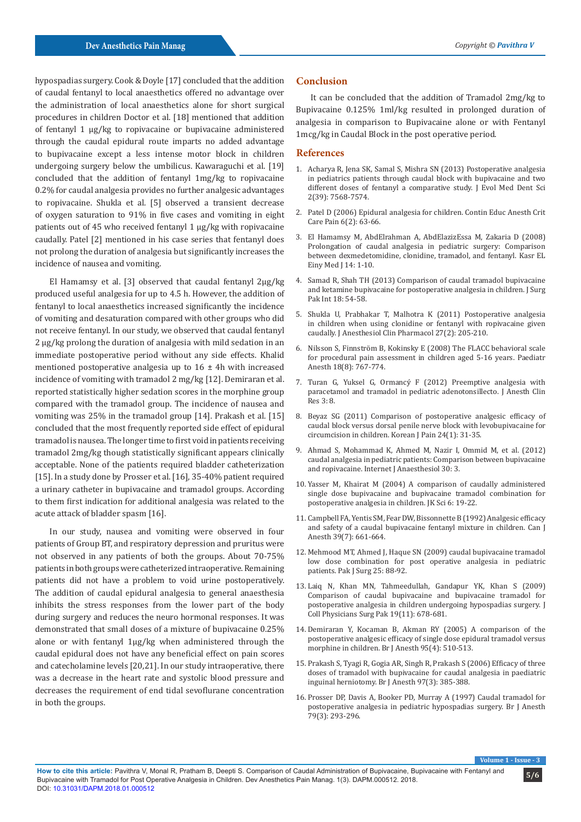hypospadias surgery. Cook & Doyle [17] concluded that the addition of caudal fentanyl to local anaesthetics offered no advantage over the administration of local anaesthetics alone for short surgical procedures in children Doctor et al. [18] mentioned that addition of fentanyl 1 μg/kg to ropivacaine or bupivacaine administered through the caudal epidural route imparts no added advantage to bupivacaine except a less intense motor block in children undergoing surgery below the umbilicus. Kawaraguchi et al. [19] concluded that the addition of fentanyl 1mg/kg to ropivacaine 0.2% for caudal analgesia provides no further analgesic advantages to ropivacaine. Shukla et al. [5] observed a transient decrease of oxygen saturation to 91% in five cases and vomiting in eight patients out of 45 who received fentanyl 1 μg/kg with ropivacaine caudally. Patel [2] mentioned in his case series that fentanyl does not prolong the duration of analgesia but significantly increases the incidence of nausea and vomiting.

El Hamamsy et al. [3] observed that caudal fentanyl 2μg/kg produced useful analgesia for up to 4.5 h. However, the addition of fentanyl to local anaesthetics increased significantly the incidence of vomiting and desaturation compared with other groups who did not receive fentanyl. In our study, we observed that caudal fentanyl 2 μg/kg prolong the duration of analgesia with mild sedation in an immediate postoperative period without any side effects. Khalid mentioned postoperative analgesia up to  $16 \pm 4$ h with increased incidence of vomiting with tramadol 2 mg/kg [12]. Demiraran et al. reported statistically higher sedation scores in the morphine group compared with the tramadol group. The incidence of nausea and vomiting was 25% in the tramadol group [14]. Prakash et al. [15] concluded that the most frequently reported side effect of epidural tramadol is nausea. The longer time to first void in patients receiving tramadol 2mg/kg though statistically significant appears clinically acceptable. None of the patients required bladder catheterization [15]. In a study done by Prosser et al. [16], 35-40% patient required a urinary catheter in bupivacaine and tramadol groups. According to them first indication for additional analgesia was related to the acute attack of bladder spasm [16].

In our study, nausea and vomiting were observed in four patients of Group BT, and respiratory depression and pruritus were not observed in any patients of both the groups. About 70-75% patients in both groups were catheterized intraoperative. Remaining patients did not have a problem to void urine postoperatively. The addition of caudal epidural analgesia to general anaesthesia inhibits the stress responses from the lower part of the body during surgery and reduces the neuro hormonal responses. It was demonstrated that small doses of a mixture of bupivacaine 0.25% alone or with fentanyl 1μg/kg when administered through the caudal epidural does not have any beneficial effect on pain scores and catecholamine levels [20,21]. In our study intraoperative, there was a decrease in the heart rate and systolic blood pressure and decreases the requirement of end tidal sevoflurane concentration in both the groups.

#### **Conclusion**

It can be concluded that the addition of Tramadol 2mg/kg to Bupivacaine 0.125% 1ml/kg resulted in prolonged duration of analgesia in comparison to Bupivacaine alone or with Fentanyl 1mcg/kg in Caudal Block in the post operative period.

#### **References**

- 1. [Acharya R, Jena SK, Samal S, Mishra SN \(2013\) Postoperative analgesia](https://jemds.com/latest-articles.php?at_id=2143) [in pediatrics patients through caudal block with bupivacaine and two](https://jemds.com/latest-articles.php?at_id=2143) [different doses of fentanyl a comparative study.](https://jemds.com/latest-articles.php?at_id=2143) J Evol Med Dent Sci [2\(39\): 7568-7574.](https://jemds.com/latest-articles.php?at_id=2143)
- 2. [Patel D \(2006\) Epidural analgesia for children.](https://academic.oup.com/bjaed/article/6/2/63/305090) Contin Educ Anesth Crit Care Pain [6\(2\): 63-66.](https://academic.oup.com/bjaed/article/6/2/63/305090)
- 3. El Hamamsy M, AbdElrahman A, AbdElazizEssa M, Zakaria D (2008) Prolongation of caudal analgesia in pediatric surgery: Comparison between dexmedetomidine, clonidine, tramadol, and fentanyl. Kasr EL Einy Med J 14: 1-10.
- 4. Samad R, Shah TH (2013) Comparison of caudal tramadol bupivacaine and ketamine bupivacaine for postoperative analgesia in children. J Surg Pak Int 18: 54-58.
- 5. [Shukla U, Prabhakar T, Malhotra K \(2011\) Postoperative analgesia](http://www.joacp.org/article.asp?issn=0970-9185;year=2011;volume=27;issue=2;spage=205;epage=210;aulast=Shukla) [in children when using clonidine or fentanyl with ropivacaine given](http://www.joacp.org/article.asp?issn=0970-9185;year=2011;volume=27;issue=2;spage=205;epage=210;aulast=Shukla) caudally. [J Anesthesiol Clin Pharmacol 27\(2\): 205-210.](http://www.joacp.org/article.asp?issn=0970-9185;year=2011;volume=27;issue=2;spage=205;epage=210;aulast=Shukla)
- 6. [Nilsson S, Finnström B, Kokinsky E \(2008\) The FLACC behavioral scale](https://www.ncbi.nlm.nih.gov/pubmed/18613934) [for procedural pain assessment in children aged 5-16 years.](https://www.ncbi.nlm.nih.gov/pubmed/18613934) Paediatr [Anesth 18\(8\): 767-774.](https://www.ncbi.nlm.nih.gov/pubmed/18613934)
- 7. Turan G, Yuksel G, Ormancý F (2012) Preemptive analgesia with paracetamol and tramadol in pediatric adenotonsillecto. J Anesth Clin Res 3: 8.
- 8. [Beyaz SG \(2011\) Comparison of postoperative analgesic efficacy of](https://www.ncbi.nlm.nih.gov/pmc/articles/PMC3049974/) [caudal block versus dorsal penile nerve block with levobupivacaine for](https://www.ncbi.nlm.nih.gov/pmc/articles/PMC3049974/) circumcision in children. [Korean J Pain 24\(1\): 31-35.](https://www.ncbi.nlm.nih.gov/pmc/articles/PMC3049974/)
- 9. Ahmad S, Mohammad K, Ahmed M, Nazir I, Ommid M, et al. (2012) caudal analgesia in pediatric patients: Comparison between bupivacaine and ropivacaine. Internet J Anaesthesiol 30: 3.
- 10. Yasser M, Khairat M (2004) A comparison of caudally administered single dose bupivacaine and bupivacaine tramadol combination for postoperative analgesia in children. JK Sci 6: 19-22.
- 11. [Campbell FA, Yentis SM, Fear DW, Bissonnette B \(1992\) Analgesic efficacy](https://www.ncbi.nlm.nih.gov/pubmed/1394753) [and safety of a caudal bupivacaine fentanyl mixture in children.](https://www.ncbi.nlm.nih.gov/pubmed/1394753) Can J [Anesth 39\(7\): 661-664.](https://www.ncbi.nlm.nih.gov/pubmed/1394753)
- 12. Mehmood MT, Ahmed J, Haque SN (2009) caudal bupivacaine tramadol low dose combination for post operative analgesia in pediatric patients. Pak J Surg 25: 88-92.
- 13. [Laiq N, Khan MN, Tahmeedullah, Gandapur YK, Khan S \(2009\)](https://www.ncbi.nlm.nih.gov/pubmed/19889260) [Comparison of caudal bupivacaine and bupivacaine tramadol for](https://www.ncbi.nlm.nih.gov/pubmed/19889260) [postoperative analgesia in children undergoing hypospadias surgery.](https://www.ncbi.nlm.nih.gov/pubmed/19889260) J [Coll Physicians Surg Pak 19\(11\): 678-681.](https://www.ncbi.nlm.nih.gov/pubmed/19889260)
- 14. [Demiraran Y, Kocaman B, Akman RY \(2005\) A comparison of the](https://academic.oup.com/bja/article/95/4/510/302724) [postoperative analgesic efficacy of single dose epidural tramadol versus](https://academic.oup.com/bja/article/95/4/510/302724) morphine in children. [Br J Anesth 95\(4\): 510-513.](https://academic.oup.com/bja/article/95/4/510/302724)
- 15. [Prakash S, Tyagi R, Gogia AR, Singh R, Prakash S \(2006\) Efficacy of three](https://www.ncbi.nlm.nih.gov/pubmed/16798773) [doses of tramadol with bupivacaine for caudal analgesia in paediatric](https://www.ncbi.nlm.nih.gov/pubmed/16798773) inguinal herniotomy. [Br J Anesth 97\(3\): 385-388.](https://www.ncbi.nlm.nih.gov/pubmed/16798773)
- 16. [Prosser DP, Davis A, Booker PD, Murray A \(1997\) Caudal tramadol for](https://www.ncbi.nlm.nih.gov/pubmed/9389843) [postoperative analgesia in pediatric hypospadias surgery.](https://www.ncbi.nlm.nih.gov/pubmed/9389843) Br J Anesth [79\(3\): 293-296.](https://www.ncbi.nlm.nih.gov/pubmed/9389843)

**Volume 1 - Issue - 3**